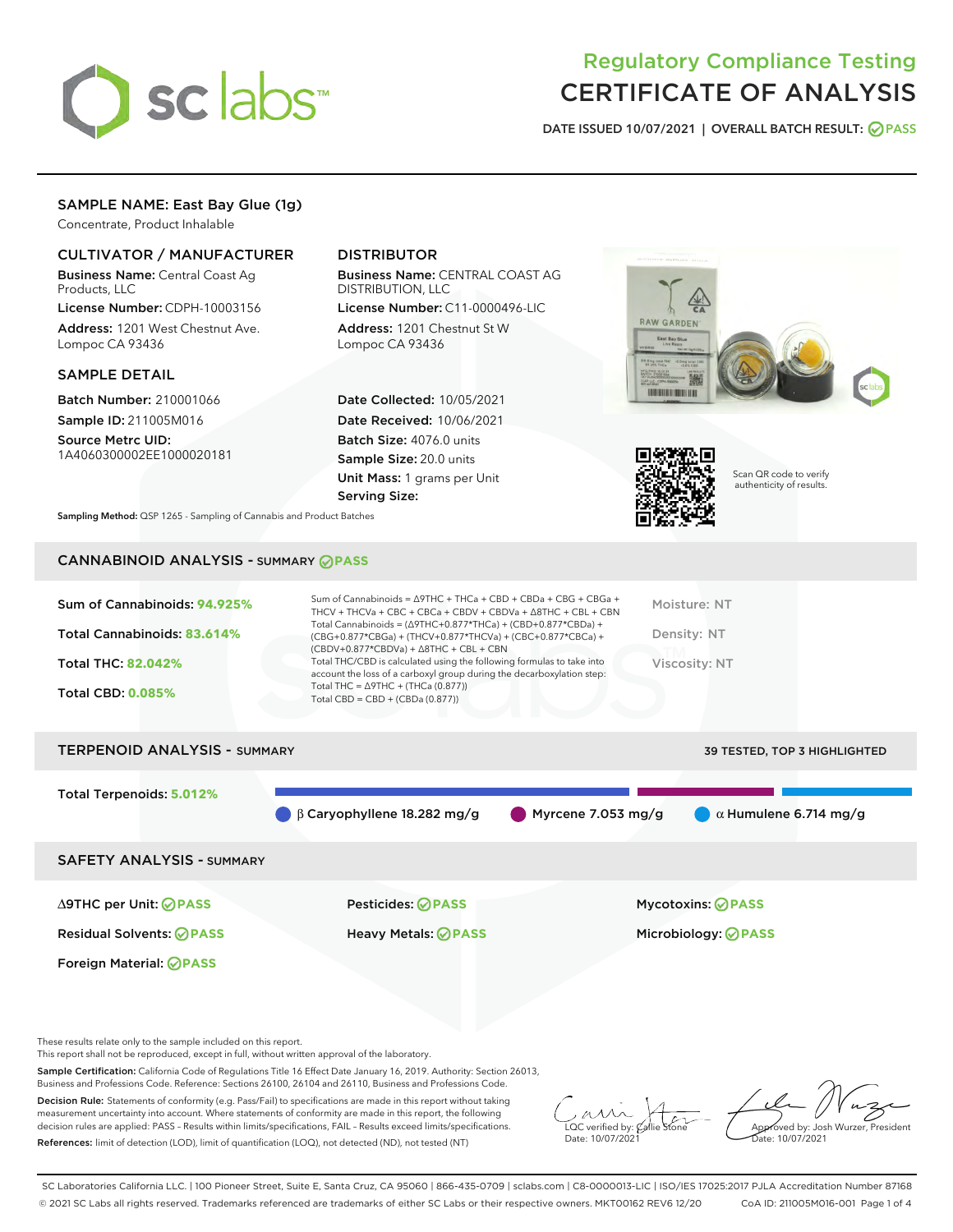

# Regulatory Compliance Testing CERTIFICATE OF ANALYSIS

DATE ISSUED 10/07/2021 | OVERALL BATCH RESULT: @ PASS

## SAMPLE NAME: East Bay Glue (1g)

Concentrate, Product Inhalable

## CULTIVATOR / MANUFACTURER

Business Name: Central Coast Ag Products, LLC

License Number: CDPH-10003156 Address: 1201 West Chestnut Ave. Lompoc CA 93436

### SAMPLE DETAIL

Batch Number: 210001066 Sample ID: 211005M016

Source Metrc UID: 1A4060300002EE1000020181

## DISTRIBUTOR

Business Name: CENTRAL COAST AG DISTRIBUTION, LLC

License Number: C11-0000496-LIC Address: 1201 Chestnut St W Lompoc CA 93436

Date Collected: 10/05/2021 Date Received: 10/06/2021 Batch Size: 4076.0 units Sample Size: 20.0 units Unit Mass: 1 grams per Unit Serving Size:





Scan QR code to verify authenticity of results.

Sampling Method: QSP 1265 - Sampling of Cannabis and Product Batches

## CANNABINOID ANALYSIS - SUMMARY **PASS**

| Sum of Cannabinoids: 94.925%<br>Total Cannabinoids: 83.614%<br><b>Total THC: 82.042%</b><br><b>Total CBD: 0.085%</b> | Sum of Cannabinoids = $\triangle$ 9THC + THCa + CBD + CBDa + CBG + CBGa +<br>THCV + THCVa + CBC + CBCa + CBDV + CBDVa + $\Delta$ 8THC + CBL + CBN<br>Total Cannabinoids = $(\Delta$ 9THC+0.877*THCa) + (CBD+0.877*CBDa) +<br>(CBG+0.877*CBGa) + (THCV+0.877*THCVa) + (CBC+0.877*CBCa) +<br>$(CBDV+0.877*CBDVa) + \Delta 8THC + CBL + CBN$<br>Total THC/CBD is calculated using the following formulas to take into<br>account the loss of a carboxyl group during the decarboxylation step:<br>Total THC = $\triangle$ 9THC + (THCa (0.877))<br>Total CBD = $CBD + (CBDa (0.877))$ | Moisture: NT<br>Density: NT<br>Viscosity: NT |
|----------------------------------------------------------------------------------------------------------------------|------------------------------------------------------------------------------------------------------------------------------------------------------------------------------------------------------------------------------------------------------------------------------------------------------------------------------------------------------------------------------------------------------------------------------------------------------------------------------------------------------------------------------------------------------------------------------------|----------------------------------------------|
| <b>TERPENOID ANALYSIS - SUMMARY</b>                                                                                  |                                                                                                                                                                                                                                                                                                                                                                                                                                                                                                                                                                                    | <b>39 TESTED, TOP 3 HIGHLIGHTED</b>          |
| <b>Total Terpenoids: 5.012%</b>                                                                                      | $\beta$ Caryophyllene 18.282 mg/g<br>Myrcene 7.053 mg/g                                                                                                                                                                                                                                                                                                                                                                                                                                                                                                                            | $\alpha$ Humulene 6.714 mg/g                 |

SAFETY ANALYSIS - SUMMARY

∆9THC per Unit: **PASS** Pesticides: **PASS** Mycotoxins: **PASS**

Foreign Material: **PASS**

Residual Solvents: **PASS** Heavy Metals: **PASS** Microbiology: **PASS**

These results relate only to the sample included on this report.

This report shall not be reproduced, except in full, without written approval of the laboratory.

Sample Certification: California Code of Regulations Title 16 Effect Date January 16, 2019. Authority: Section 26013, Business and Professions Code. Reference: Sections 26100, 26104 and 26110, Business and Professions Code.

Decision Rule: Statements of conformity (e.g. Pass/Fail) to specifications are made in this report without taking measurement uncertainty into account. Where statements of conformity are made in this report, the following decision rules are applied: PASS – Results within limits/specifications, FAIL – Results exceed limits/specifications. References: limit of detection (LOD), limit of quantification (LOQ), not detected (ND), not tested (NT)

 $\overline{\text{LOC}}$  verified by:  $\mathcal C$ Date: 10/07/2021

Approved by: Josh Wurzer, President Date: 10/07/2021

SC Laboratories California LLC. | 100 Pioneer Street, Suite E, Santa Cruz, CA 95060 | 866-435-0709 | sclabs.com | C8-0000013-LIC | ISO/IES 17025:2017 PJLA Accreditation Number 87168 © 2021 SC Labs all rights reserved. Trademarks referenced are trademarks of either SC Labs or their respective owners. MKT00162 REV6 12/20 CoA ID: 211005M016-001 Page 1 of 4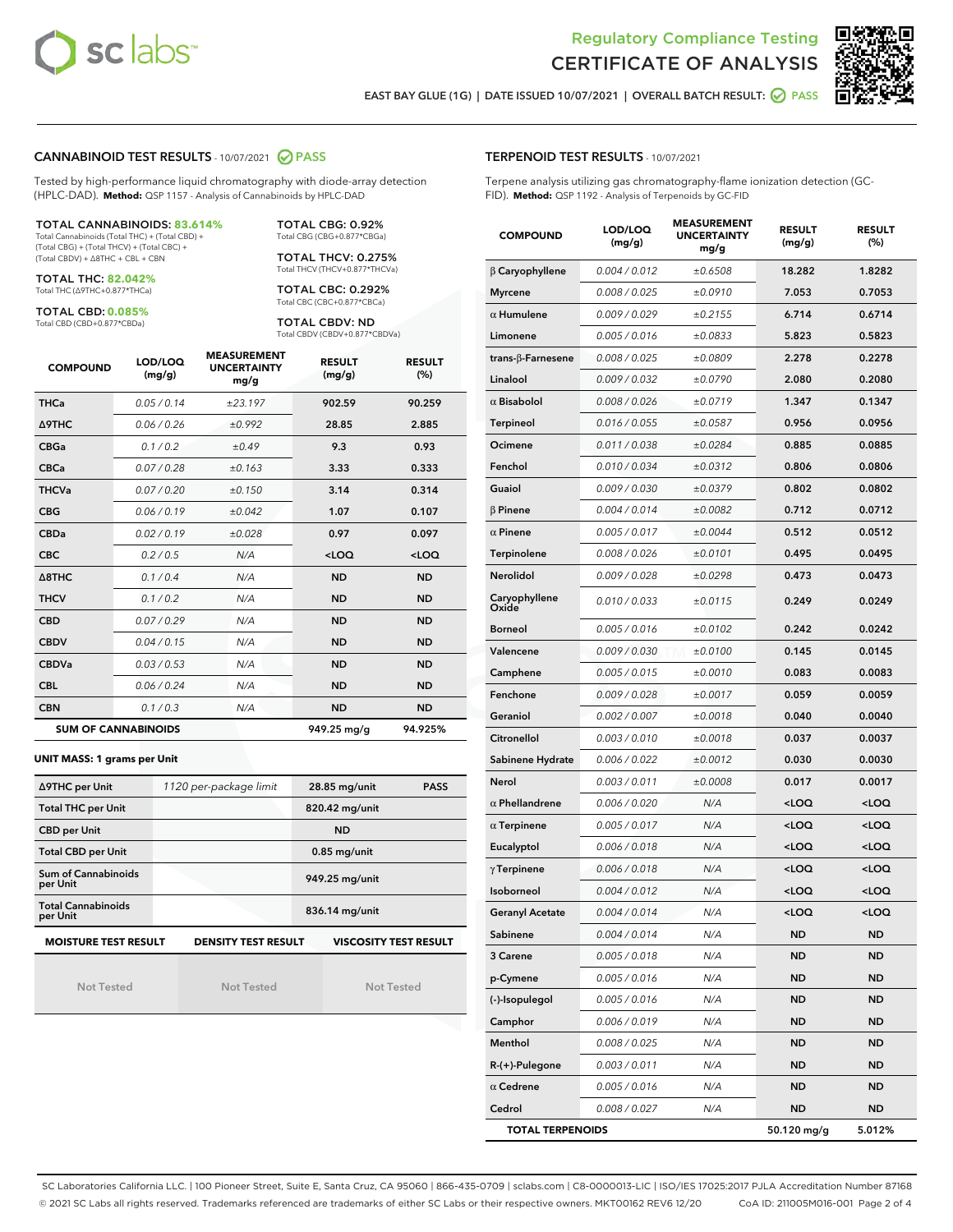



EAST BAY GLUE (1G) | DATE ISSUED 10/07/2021 | OVERALL BATCH RESULT: @ PASS

#### CANNABINOID TEST RESULTS - 10/07/2021 2 PASS

Tested by high-performance liquid chromatography with diode-array detection (HPLC-DAD). **Method:** QSP 1157 - Analysis of Cannabinoids by HPLC-DAD

#### TOTAL CANNABINOIDS: **83.614%**

Total Cannabinoids (Total THC) + (Total CBD) + (Total CBG) + (Total THCV) + (Total CBC) + (Total CBDV) + ∆8THC + CBL + CBN

TOTAL THC: **82.042%** Total THC (∆9THC+0.877\*THCa)

TOTAL CBD: **0.085%**

Total CBD (CBD+0.877\*CBDa)

TOTAL CBG: 0.92% Total CBG (CBG+0.877\*CBGa)

TOTAL THCV: 0.275% Total THCV (THCV+0.877\*THCVa)

TOTAL CBC: 0.292% Total CBC (CBC+0.877\*CBCa)

TOTAL CBDV: ND Total CBDV (CBDV+0.877\*CBDVa)

| <b>COMPOUND</b>  | LOD/LOQ<br>(mg/g)          | <b>MEASUREMENT</b><br><b>UNCERTAINTY</b><br>mg/g | <b>RESULT</b><br>(mg/g) | <b>RESULT</b><br>(%) |
|------------------|----------------------------|--------------------------------------------------|-------------------------|----------------------|
| <b>THCa</b>      | 0.05 / 0.14                | ±23.197                                          | 902.59                  | 90.259               |
| <b>A9THC</b>     | 0.06 / 0.26                | ±0.992                                           | 28.85                   | 2.885                |
| <b>CBGa</b>      | 0.1/0.2                    | ±0.49                                            | 9.3                     | 0.93                 |
| <b>CBCa</b>      | 0.07/0.28                  | ±0.163                                           | 3.33                    | 0.333                |
| <b>THCVa</b>     | 0.07/0.20                  | ±0.150                                           | 3.14                    | 0.314                |
| <b>CBG</b>       | 0.06/0.19                  | ±0.042                                           | 1.07                    | 0.107                |
| <b>CBDa</b>      | 0.02/0.19                  | ±0.028                                           | 0.97                    | 0.097                |
| <b>CBC</b>       | 0.2 / 0.5                  | N/A                                              | $<$ LOQ                 | $<$ LOQ              |
| $\triangle$ 8THC | 0.1/0.4                    | N/A                                              | <b>ND</b>               | <b>ND</b>            |
| <b>THCV</b>      | 0.1 / 0.2                  | N/A                                              | <b>ND</b>               | <b>ND</b>            |
| <b>CBD</b>       | 0.07/0.29                  | N/A                                              | <b>ND</b>               | <b>ND</b>            |
| <b>CBDV</b>      | 0.04 / 0.15                | N/A                                              | <b>ND</b>               | <b>ND</b>            |
| <b>CBDVa</b>     | 0.03 / 0.53                | N/A                                              | <b>ND</b>               | <b>ND</b>            |
| <b>CBL</b>       | 0.06 / 0.24                | N/A                                              | <b>ND</b>               | <b>ND</b>            |
| <b>CBN</b>       | 0.1/0.3                    | N/A                                              | <b>ND</b>               | <b>ND</b>            |
|                  | <b>SUM OF CANNABINOIDS</b> |                                                  | 949.25 mg/g             | 94.925%              |

#### **UNIT MASS: 1 grams per Unit**

| ∆9THC per Unit                        | 1120 per-package limit     | 28.85 mg/unit<br><b>PASS</b> |
|---------------------------------------|----------------------------|------------------------------|
| <b>Total THC per Unit</b>             |                            | 820.42 mg/unit               |
| <b>CBD per Unit</b>                   |                            | <b>ND</b>                    |
| <b>Total CBD per Unit</b>             |                            | $0.85$ mg/unit               |
| Sum of Cannabinoids<br>per Unit       |                            | 949.25 mg/unit               |
| <b>Total Cannabinoids</b><br>per Unit |                            | 836.14 mg/unit               |
| <b>MOISTURE TEST RESULT</b>           | <b>DENSITY TEST RESULT</b> | <b>VISCOSITY TEST RESULT</b> |

Not Tested

Not Tested

Not Tested

#### TERPENOID TEST RESULTS - 10/07/2021

Terpene analysis utilizing gas chromatography-flame ionization detection (GC-FID). **Method:** QSP 1192 - Analysis of Terpenoids by GC-FID

| <b>COMPOUND</b>           | LOD/LOQ<br>(mg/g) | <b>MEASUREMENT</b><br><b>UNCERTAINTY</b><br>mg/g | <b>RESULT</b><br>(mg/g)                         | <b>RESULT</b><br>(%) |
|---------------------------|-------------------|--------------------------------------------------|-------------------------------------------------|----------------------|
| $\beta$ Caryophyllene     | 0.004 / 0.012     | ±0.6508                                          | 18.282                                          | 1.8282               |
| <b>Myrcene</b>            | 0.008 / 0.025     | ±0.0910                                          | 7.053                                           | 0.7053               |
| $\alpha$ Humulene         | 0.009/0.029       | ±0.2155                                          | 6.714                                           | 0.6714               |
| Limonene                  | 0.005 / 0.016     | ±0.0833                                          | 5.823                                           | 0.5823               |
| trans- $\beta$ -Farnesene | 0.008 / 0.025     | ±0.0809                                          | 2.278                                           | 0.2278               |
| Linalool                  | 0.009 / 0.032     | ±0.0790                                          | 2.080                                           | 0.2080               |
| $\alpha$ Bisabolol        | 0.008 / 0.026     | ±0.0719                                          | 1.347                                           | 0.1347               |
| <b>Terpineol</b>          | 0.016 / 0.055     | ±0.0587                                          | 0.956                                           | 0.0956               |
| Ocimene                   | 0.011 / 0.038     | ±0.0284                                          | 0.885                                           | 0.0885               |
| Fenchol                   | 0.010 / 0.034     | ±0.0312                                          | 0.806                                           | 0.0806               |
| Guaiol                    | 0.009 / 0.030     | ±0.0379                                          | 0.802                                           | 0.0802               |
| $\beta$ Pinene            | 0.004 / 0.014     | ±0.0082                                          | 0.712                                           | 0.0712               |
| $\alpha$ Pinene           | 0.005 / 0.017     | ±0.0044                                          | 0.512                                           | 0.0512               |
| Terpinolene               | 0.008 / 0.026     | ±0.0101                                          | 0.495                                           | 0.0495               |
| Nerolidol                 | 0.009 / 0.028     | ±0.0298                                          | 0.473                                           | 0.0473               |
| Caryophyllene<br>Oxide    | 0.010 / 0.033     | ±0.0115                                          | 0.249                                           | 0.0249               |
| <b>Borneol</b>            | 0.005 / 0.016     | ±0.0102                                          | 0.242                                           | 0.0242               |
| Valencene                 | 0.009 / 0.030     | ±0.0100                                          | 0.145                                           | 0.0145               |
| Camphene                  | 0.005 / 0.015     | ±0.0010                                          | 0.083                                           | 0.0083               |
| Fenchone                  | 0.009 / 0.028     | ±0.0017                                          | 0.059                                           | 0.0059               |
| Geraniol                  | 0.002 / 0.007     | ±0.0018                                          | 0.040                                           | 0.0040               |
| Citronellol               | 0.003 / 0.010     | ±0.0018                                          | 0.037                                           | 0.0037               |
| Sabinene Hydrate          | 0.006 / 0.022     | ±0.0012                                          | 0.030                                           | 0.0030               |
| Nerol                     | 0.003 / 0.011     | ±0.0008                                          | 0.017                                           | 0.0017               |
| $\alpha$ Phellandrene     | 0.006 / 0.020     | N/A                                              | <loq< th=""><th><loq< th=""></loq<></th></loq<> | <loq< th=""></loq<>  |
| $\alpha$ Terpinene        | 0.005 / 0.017     | N/A                                              | <loq< th=""><th><loq< th=""></loq<></th></loq<> | <loq< th=""></loq<>  |
| Eucalyptol                | 0.006 / 0.018     | N/A                                              | <loq< th=""><th><loq< th=""></loq<></th></loq<> | <loq< th=""></loq<>  |
| $\gamma$ Terpinene        | 0.006 / 0.018     | N/A                                              | <loq< th=""><th><loq< th=""></loq<></th></loq<> | <loq< th=""></loq<>  |
| Isoborneol                | 0.004 / 0.012     | N/A                                              | <loq< th=""><th><loq< th=""></loq<></th></loq<> | <loq< th=""></loq<>  |
| Geranyl Acetate           | 0.004 / 0.014     | N/A                                              | <loq< th=""><th><loq< th=""></loq<></th></loq<> | <loq< th=""></loq<>  |
| Sabinene                  | 0.004 / 0.014     | N/A                                              | ND                                              | ND                   |
| 3 Carene                  | 0.005 / 0.018     | N/A                                              | <b>ND</b>                                       | <b>ND</b>            |
| p-Cymene                  | 0.005 / 0.016     | N/A                                              | <b>ND</b>                                       | <b>ND</b>            |
| (-)-Isopulegol            | 0.005 / 0.016     | N/A                                              | ND                                              | ND                   |
| Camphor                   | 0.006 / 0.019     | N/A                                              | ND                                              | ND                   |
| Menthol                   | 0.008 / 0.025     | N/A                                              | <b>ND</b>                                       | <b>ND</b>            |
| $R-(+)$ -Pulegone         | 0.003 / 0.011     | N/A                                              | ND                                              | ND                   |
| $\alpha$ Cedrene          | 0.005 / 0.016     | N/A                                              | <b>ND</b>                                       | <b>ND</b>            |
| Cedrol                    | 0.008 / 0.027     | N/A                                              | <b>ND</b>                                       | <b>ND</b>            |
| <b>TOTAL TERPENOIDS</b>   |                   |                                                  | 50.120 mg/g                                     | 5.012%               |

SC Laboratories California LLC. | 100 Pioneer Street, Suite E, Santa Cruz, CA 95060 | 866-435-0709 | sclabs.com | C8-0000013-LIC | ISO/IES 17025:2017 PJLA Accreditation Number 87168 © 2021 SC Labs all rights reserved. Trademarks referenced are trademarks of either SC Labs or their respective owners. MKT00162 REV6 12/20 CoA ID: 211005M016-001 Page 2 of 4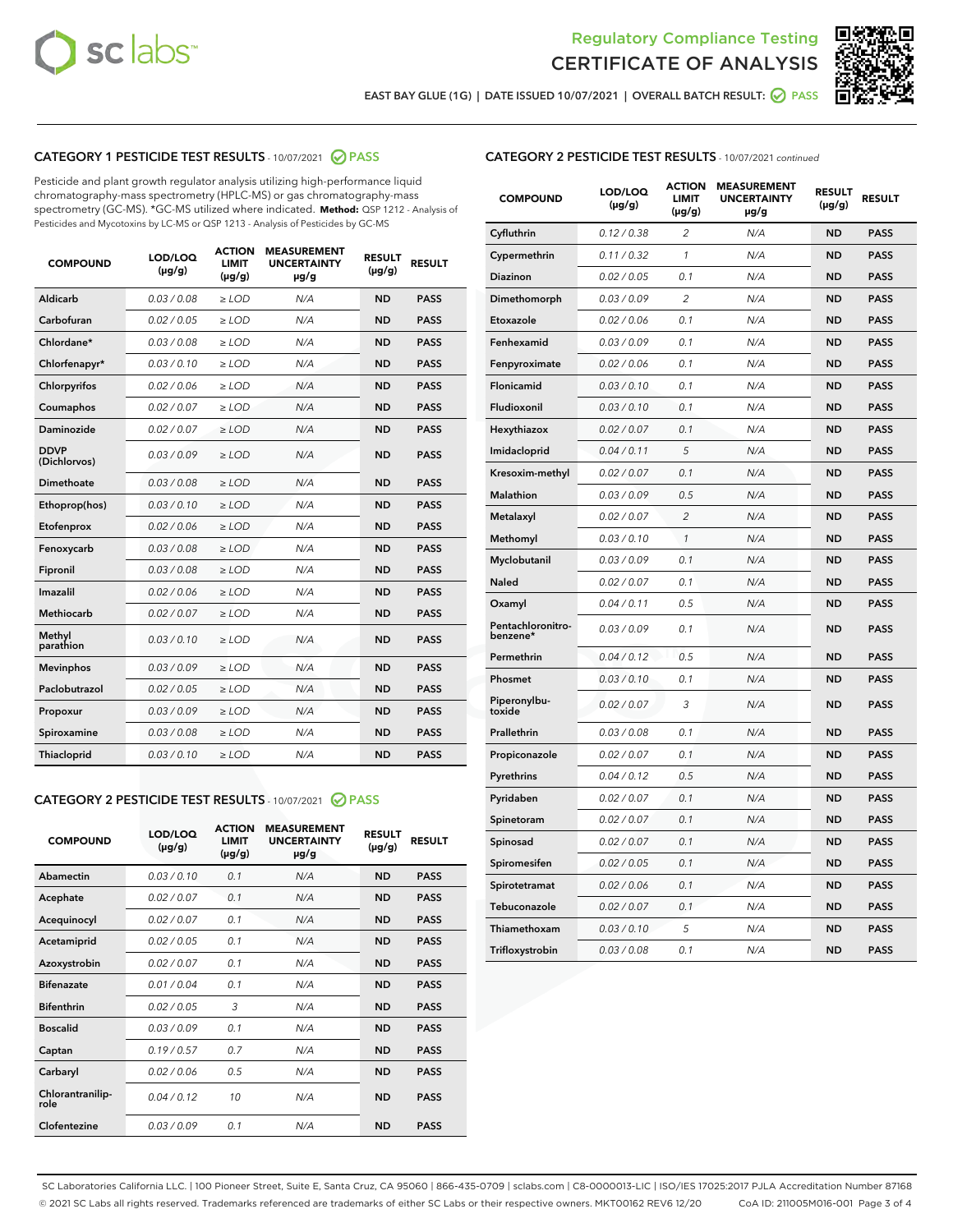



EAST BAY GLUE (1G) | DATE ISSUED 10/07/2021 | OVERALL BATCH RESULT: @ PASS

## CATEGORY 1 PESTICIDE TEST RESULTS - 10/07/2021 2 PASS

Pesticide and plant growth regulator analysis utilizing high-performance liquid chromatography-mass spectrometry (HPLC-MS) or gas chromatography-mass spectrometry (GC-MS). \*GC-MS utilized where indicated. **Method:** QSP 1212 - Analysis of Pesticides and Mycotoxins by LC-MS or QSP 1213 - Analysis of Pesticides by GC-MS

| <b>Aldicarb</b><br>0.03 / 0.08<br><b>ND</b><br>$\ge$ LOD<br>N/A<br><b>PASS</b><br>Carbofuran<br>0.02/0.05<br>$\ge$ LOD<br>N/A<br><b>ND</b><br><b>PASS</b><br>Chlordane*<br>0.03 / 0.08<br><b>ND</b><br>$>$ LOD<br>N/A<br><b>PASS</b><br>0.03/0.10<br><b>ND</b><br><b>PASS</b><br>Chlorfenapyr*<br>$\geq$ LOD<br>N/A<br>0.02 / 0.06<br>N/A<br><b>ND</b><br><b>PASS</b><br>Chlorpyrifos<br>$\geq$ LOD<br>0.02 / 0.07<br>N/A<br><b>ND</b><br><b>PASS</b><br>Coumaphos<br>$>$ LOD<br>Daminozide<br>0.02 / 0.07<br>$\ge$ LOD<br>N/A<br><b>ND</b><br><b>PASS</b><br><b>DDVP</b><br>0.03/0.09<br>$\ge$ LOD<br>N/A<br><b>ND</b><br><b>PASS</b><br>(Dichlorvos)<br>Dimethoate<br><b>ND</b><br><b>PASS</b><br>0.03/0.08<br>$>$ LOD<br>N/A<br>0.03/0.10<br>Ethoprop(hos)<br>$\ge$ LOD<br>N/A<br><b>ND</b><br><b>PASS</b><br>0.02/0.06<br>$\ge$ LOD<br>N/A<br><b>ND</b><br><b>PASS</b><br>Etofenprox<br>Fenoxycarb<br>0.03/0.08<br>$>$ LOD<br>N/A<br><b>ND</b><br><b>PASS</b><br>0.03/0.08<br><b>ND</b><br><b>PASS</b><br>Fipronil<br>$\ge$ LOD<br>N/A<br>Imazalil<br>0.02 / 0.06<br>$>$ LOD<br>N/A<br><b>ND</b><br><b>PASS</b><br>0.02 / 0.07<br>Methiocarb<br>N/A<br><b>ND</b><br>$>$ LOD<br><b>PASS</b><br>Methyl<br>0.03/0.10<br>$\ge$ LOD<br>N/A<br><b>ND</b><br><b>PASS</b><br>parathion<br>0.03/0.09<br>$\ge$ LOD<br>N/A<br><b>ND</b><br><b>PASS</b><br><b>Mevinphos</b><br>Paclobutrazol<br>0.02 / 0.05<br>$\ge$ LOD<br>N/A<br><b>ND</b><br><b>PASS</b><br>0.03/0.09<br>N/A<br>$\ge$ LOD<br><b>ND</b><br><b>PASS</b><br>Propoxur<br>0.03/0.08<br><b>ND</b><br><b>PASS</b><br>Spiroxamine<br>$\ge$ LOD<br>N/A<br><b>PASS</b><br>Thiacloprid<br>0.03/0.10<br>$\ge$ LOD<br>N/A<br><b>ND</b> | <b>COMPOUND</b> | LOD/LOQ<br>$(\mu g/g)$ | <b>ACTION</b><br>LIMIT<br>$(\mu g/g)$ | <b>MEASUREMENT</b><br><b>UNCERTAINTY</b><br>$\mu$ g/g | <b>RESULT</b><br>$(\mu g/g)$ | <b>RESULT</b> |
|--------------------------------------------------------------------------------------------------------------------------------------------------------------------------------------------------------------------------------------------------------------------------------------------------------------------------------------------------------------------------------------------------------------------------------------------------------------------------------------------------------------------------------------------------------------------------------------------------------------------------------------------------------------------------------------------------------------------------------------------------------------------------------------------------------------------------------------------------------------------------------------------------------------------------------------------------------------------------------------------------------------------------------------------------------------------------------------------------------------------------------------------------------------------------------------------------------------------------------------------------------------------------------------------------------------------------------------------------------------------------------------------------------------------------------------------------------------------------------------------------------------------------------------------------------------------------------------------------------------------------------------------------------------------------------------|-----------------|------------------------|---------------------------------------|-------------------------------------------------------|------------------------------|---------------|
|                                                                                                                                                                                                                                                                                                                                                                                                                                                                                                                                                                                                                                                                                                                                                                                                                                                                                                                                                                                                                                                                                                                                                                                                                                                                                                                                                                                                                                                                                                                                                                                                                                                                                      |                 |                        |                                       |                                                       |                              |               |
|                                                                                                                                                                                                                                                                                                                                                                                                                                                                                                                                                                                                                                                                                                                                                                                                                                                                                                                                                                                                                                                                                                                                                                                                                                                                                                                                                                                                                                                                                                                                                                                                                                                                                      |                 |                        |                                       |                                                       |                              |               |
|                                                                                                                                                                                                                                                                                                                                                                                                                                                                                                                                                                                                                                                                                                                                                                                                                                                                                                                                                                                                                                                                                                                                                                                                                                                                                                                                                                                                                                                                                                                                                                                                                                                                                      |                 |                        |                                       |                                                       |                              |               |
|                                                                                                                                                                                                                                                                                                                                                                                                                                                                                                                                                                                                                                                                                                                                                                                                                                                                                                                                                                                                                                                                                                                                                                                                                                                                                                                                                                                                                                                                                                                                                                                                                                                                                      |                 |                        |                                       |                                                       |                              |               |
|                                                                                                                                                                                                                                                                                                                                                                                                                                                                                                                                                                                                                                                                                                                                                                                                                                                                                                                                                                                                                                                                                                                                                                                                                                                                                                                                                                                                                                                                                                                                                                                                                                                                                      |                 |                        |                                       |                                                       |                              |               |
|                                                                                                                                                                                                                                                                                                                                                                                                                                                                                                                                                                                                                                                                                                                                                                                                                                                                                                                                                                                                                                                                                                                                                                                                                                                                                                                                                                                                                                                                                                                                                                                                                                                                                      |                 |                        |                                       |                                                       |                              |               |
|                                                                                                                                                                                                                                                                                                                                                                                                                                                                                                                                                                                                                                                                                                                                                                                                                                                                                                                                                                                                                                                                                                                                                                                                                                                                                                                                                                                                                                                                                                                                                                                                                                                                                      |                 |                        |                                       |                                                       |                              |               |
|                                                                                                                                                                                                                                                                                                                                                                                                                                                                                                                                                                                                                                                                                                                                                                                                                                                                                                                                                                                                                                                                                                                                                                                                                                                                                                                                                                                                                                                                                                                                                                                                                                                                                      |                 |                        |                                       |                                                       |                              |               |
|                                                                                                                                                                                                                                                                                                                                                                                                                                                                                                                                                                                                                                                                                                                                                                                                                                                                                                                                                                                                                                                                                                                                                                                                                                                                                                                                                                                                                                                                                                                                                                                                                                                                                      |                 |                        |                                       |                                                       |                              |               |
|                                                                                                                                                                                                                                                                                                                                                                                                                                                                                                                                                                                                                                                                                                                                                                                                                                                                                                                                                                                                                                                                                                                                                                                                                                                                                                                                                                                                                                                                                                                                                                                                                                                                                      |                 |                        |                                       |                                                       |                              |               |
|                                                                                                                                                                                                                                                                                                                                                                                                                                                                                                                                                                                                                                                                                                                                                                                                                                                                                                                                                                                                                                                                                                                                                                                                                                                                                                                                                                                                                                                                                                                                                                                                                                                                                      |                 |                        |                                       |                                                       |                              |               |
|                                                                                                                                                                                                                                                                                                                                                                                                                                                                                                                                                                                                                                                                                                                                                                                                                                                                                                                                                                                                                                                                                                                                                                                                                                                                                                                                                                                                                                                                                                                                                                                                                                                                                      |                 |                        |                                       |                                                       |                              |               |
|                                                                                                                                                                                                                                                                                                                                                                                                                                                                                                                                                                                                                                                                                                                                                                                                                                                                                                                                                                                                                                                                                                                                                                                                                                                                                                                                                                                                                                                                                                                                                                                                                                                                                      |                 |                        |                                       |                                                       |                              |               |
|                                                                                                                                                                                                                                                                                                                                                                                                                                                                                                                                                                                                                                                                                                                                                                                                                                                                                                                                                                                                                                                                                                                                                                                                                                                                                                                                                                                                                                                                                                                                                                                                                                                                                      |                 |                        |                                       |                                                       |                              |               |
|                                                                                                                                                                                                                                                                                                                                                                                                                                                                                                                                                                                                                                                                                                                                                                                                                                                                                                                                                                                                                                                                                                                                                                                                                                                                                                                                                                                                                                                                                                                                                                                                                                                                                      |                 |                        |                                       |                                                       |                              |               |
|                                                                                                                                                                                                                                                                                                                                                                                                                                                                                                                                                                                                                                                                                                                                                                                                                                                                                                                                                                                                                                                                                                                                                                                                                                                                                                                                                                                                                                                                                                                                                                                                                                                                                      |                 |                        |                                       |                                                       |                              |               |
|                                                                                                                                                                                                                                                                                                                                                                                                                                                                                                                                                                                                                                                                                                                                                                                                                                                                                                                                                                                                                                                                                                                                                                                                                                                                                                                                                                                                                                                                                                                                                                                                                                                                                      |                 |                        |                                       |                                                       |                              |               |
|                                                                                                                                                                                                                                                                                                                                                                                                                                                                                                                                                                                                                                                                                                                                                                                                                                                                                                                                                                                                                                                                                                                                                                                                                                                                                                                                                                                                                                                                                                                                                                                                                                                                                      |                 |                        |                                       |                                                       |                              |               |
|                                                                                                                                                                                                                                                                                                                                                                                                                                                                                                                                                                                                                                                                                                                                                                                                                                                                                                                                                                                                                                                                                                                                                                                                                                                                                                                                                                                                                                                                                                                                                                                                                                                                                      |                 |                        |                                       |                                                       |                              |               |
|                                                                                                                                                                                                                                                                                                                                                                                                                                                                                                                                                                                                                                                                                                                                                                                                                                                                                                                                                                                                                                                                                                                                                                                                                                                                                                                                                                                                                                                                                                                                                                                                                                                                                      |                 |                        |                                       |                                                       |                              |               |
|                                                                                                                                                                                                                                                                                                                                                                                                                                                                                                                                                                                                                                                                                                                                                                                                                                                                                                                                                                                                                                                                                                                                                                                                                                                                                                                                                                                                                                                                                                                                                                                                                                                                                      |                 |                        |                                       |                                                       |                              |               |

#### CATEGORY 2 PESTICIDE TEST RESULTS - 10/07/2021 @ PASS

| <b>COMPOUND</b>          | LOD/LOO<br>$(\mu g/g)$ | <b>ACTION</b><br>LIMIT<br>$(\mu g/g)$ | <b>MEASUREMENT</b><br><b>UNCERTAINTY</b><br>µg/g | <b>RESULT</b><br>$(\mu g/g)$ | <b>RESULT</b> |  |
|--------------------------|------------------------|---------------------------------------|--------------------------------------------------|------------------------------|---------------|--|
| Abamectin                | 0.03/0.10              | 0.1                                   | N/A                                              | <b>ND</b>                    | <b>PASS</b>   |  |
| Acephate                 | 0.02/0.07              | 0.1                                   | N/A                                              | <b>ND</b>                    | <b>PASS</b>   |  |
| Acequinocyl              | 0.02/0.07              | 0.1                                   | N/A                                              | <b>ND</b>                    | <b>PASS</b>   |  |
| Acetamiprid              | 0.02 / 0.05            | 0.1                                   | N/A                                              | <b>ND</b>                    | <b>PASS</b>   |  |
| Azoxystrobin             | 0.02/0.07              | 0.1                                   | N/A                                              | <b>ND</b>                    | <b>PASS</b>   |  |
| <b>Bifenazate</b>        | 0.01 / 0.04            | 0.1                                   | N/A                                              | <b>ND</b>                    | <b>PASS</b>   |  |
| <b>Bifenthrin</b>        | 0.02 / 0.05            | 3                                     | N/A                                              | <b>ND</b>                    | <b>PASS</b>   |  |
| <b>Boscalid</b>          | 0.03/0.09              | 0.1                                   | N/A                                              | <b>ND</b>                    | <b>PASS</b>   |  |
| Captan                   | 0.19/0.57              | 0.7                                   | N/A                                              | <b>ND</b>                    | <b>PASS</b>   |  |
| Carbaryl                 | 0.02/0.06              | 0.5                                   | N/A                                              | <b>ND</b>                    | <b>PASS</b>   |  |
| Chlorantranilip-<br>role | 0.04/0.12              | 10                                    | N/A                                              | <b>ND</b>                    | <b>PASS</b>   |  |
| Clofentezine             | 0.03/0.09              | 0.1                                   | N/A                                              | <b>ND</b>                    | <b>PASS</b>   |  |

## CATEGORY 2 PESTICIDE TEST RESULTS - 10/07/2021 continued

| <b>COMPOUND</b>               | LOD/LOQ<br>(µg/g) | <b>ACTION</b><br><b>LIMIT</b><br>$(\mu g/g)$ | <b>MEASUREMENT</b><br><b>UNCERTAINTY</b><br>µg/g | <b>RESULT</b><br>(µg/g) | <b>RESULT</b> |
|-------------------------------|-------------------|----------------------------------------------|--------------------------------------------------|-------------------------|---------------|
| Cyfluthrin                    | 0.12 / 0.38       | $\overline{c}$                               | N/A                                              | ND                      | <b>PASS</b>   |
| Cypermethrin                  | 0.11 / 0.32       | $\mathcal{I}$                                | N/A                                              | ND                      | <b>PASS</b>   |
| Diazinon                      | 0.02 / 0.05       | 0.1                                          | N/A                                              | <b>ND</b>               | <b>PASS</b>   |
| Dimethomorph                  | 0.03 / 0.09       | $\overline{c}$                               | N/A                                              | ND                      | <b>PASS</b>   |
| Etoxazole                     | 0.02 / 0.06       | 0.1                                          | N/A                                              | ND                      | <b>PASS</b>   |
| Fenhexamid                    | 0.03 / 0.09       | 0.1                                          | N/A                                              | <b>ND</b>               | <b>PASS</b>   |
| Fenpyroximate                 | 0.02 / 0.06       | 0.1                                          | N/A                                              | ND                      | <b>PASS</b>   |
| Flonicamid                    | 0.03 / 0.10       | 0.1                                          | N/A                                              | ND                      | <b>PASS</b>   |
| Fludioxonil                   | 0.03 / 0.10       | 0.1                                          | N/A                                              | ND                      | <b>PASS</b>   |
| Hexythiazox                   | 0.02 / 0.07       | 0.1                                          | N/A                                              | ND                      | <b>PASS</b>   |
| Imidacloprid                  | 0.04 / 0.11       | 5                                            | N/A                                              | ND                      | <b>PASS</b>   |
| Kresoxim-methyl               | 0.02 / 0.07       | 0.1                                          | N/A                                              | ND                      | <b>PASS</b>   |
| <b>Malathion</b>              | 0.03 / 0.09       | 0.5                                          | N/A                                              | ND                      | <b>PASS</b>   |
| Metalaxyl                     | 0.02 / 0.07       | $\overline{c}$                               | N/A                                              | ND                      | <b>PASS</b>   |
| Methomyl                      | 0.03 / 0.10       | 1                                            | N/A                                              | <b>ND</b>               | <b>PASS</b>   |
| Myclobutanil                  | 0.03 / 0.09       | 0.1                                          | N/A                                              | ND                      | <b>PASS</b>   |
| Naled                         | 0.02 / 0.07       | 0.1                                          | N/A                                              | ND                      | <b>PASS</b>   |
| Oxamyl                        | 0.04 / 0.11       | 0.5                                          | N/A                                              | ND                      | <b>PASS</b>   |
| Pentachloronitro-<br>benzene* | 0.03 / 0.09       | 0.1                                          | N/A                                              | ND                      | <b>PASS</b>   |
| Permethrin                    | 0.04 / 0.12       | 0.5                                          | N/A                                              | ND                      | <b>PASS</b>   |
| Phosmet                       | 0.03 / 0.10       | 0.1                                          | N/A                                              | ND                      | <b>PASS</b>   |
| Piperonylbu-<br>toxide        | 0.02 / 0.07       | 3                                            | N/A                                              | ND                      | <b>PASS</b>   |
| Prallethrin                   | 0.03 / 0.08       | 0.1                                          | N/A                                              | ND                      | <b>PASS</b>   |
| Propiconazole                 | 0.02 / 0.07       | 0.1                                          | N/A                                              | ND                      | <b>PASS</b>   |
| Pyrethrins                    | 0.04 / 0.12       | 0.5                                          | N/A                                              | ND                      | <b>PASS</b>   |
| Pyridaben                     | 0.02 / 0.07       | 0.1                                          | N/A                                              | ND                      | <b>PASS</b>   |
| Spinetoram                    | 0.02 / 0.07       | 0.1                                          | N/A                                              | ND                      | <b>PASS</b>   |
| Spinosad                      | 0.02 / 0.07       | 0.1                                          | N/A                                              | ND                      | <b>PASS</b>   |
| Spiromesifen                  | 0.02 / 0.05       | 0.1                                          | N/A                                              | <b>ND</b>               | <b>PASS</b>   |
| Spirotetramat                 | 0.02 / 0.06       | 0.1                                          | N/A                                              | ND                      | <b>PASS</b>   |
| Tebuconazole                  | 0.02 / 0.07       | 0.1                                          | N/A                                              | ND                      | <b>PASS</b>   |
| Thiamethoxam                  | 0.03 / 0.10       | 5                                            | N/A                                              | ND                      | <b>PASS</b>   |
| Trifloxystrobin               | 0.03 / 0.08       | 0.1                                          | N/A                                              | <b>ND</b>               | <b>PASS</b>   |

SC Laboratories California LLC. | 100 Pioneer Street, Suite E, Santa Cruz, CA 95060 | 866-435-0709 | sclabs.com | C8-0000013-LIC | ISO/IES 17025:2017 PJLA Accreditation Number 87168 © 2021 SC Labs all rights reserved. Trademarks referenced are trademarks of either SC Labs or their respective owners. MKT00162 REV6 12/20 CoA ID: 211005M016-001 Page 3 of 4